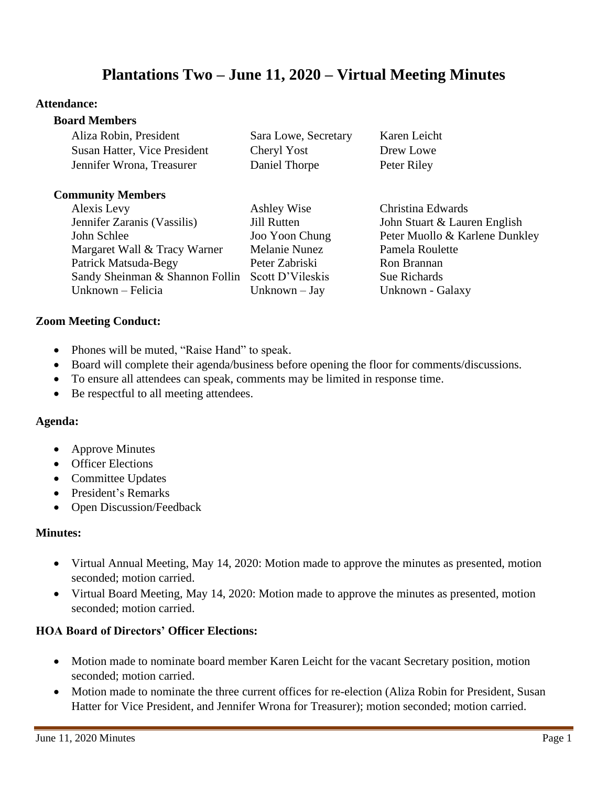# **Plantations Two – June 11, 2020 – Virtual Meeting Minutes**

#### **Attendance:**

#### **Board Members**

| Aliza Robin, President       | Sara Lowe, Secretary | Karen Leicht |
|------------------------------|----------------------|--------------|
| Susan Hatter, Vice President | Cheryl Yost          | Drew Lowe    |
| Jennifer Wrona, Treasurer    | Daniel Thorpe        | Peter Riley  |

#### **Community Members**

Alexis Levy Ashley Wise Christina Edwards Jennifer Zaranis (Vassilis) Jill Rutten John Stuart & Lauren English John Schlee Joo Yoon Chung Peter Muollo & Karlene Dunkley Margaret Wall & Tracy Warner Melanie Nunez Pamela Roulette Patrick Matsuda-Begy Peter Zabriski Ron Brannan Sandy Sheinman & Shannon Follin Scott D'Vileskis Sue Richards Unknown – Felicia Unknown – Jay Unknown - Galaxy

#### **Zoom Meeting Conduct:**

- Phones will be muted, "Raise Hand" to speak.
- Board will complete their agenda/business before opening the floor for comments/discussions.
- To ensure all attendees can speak, comments may be limited in response time.
- Be respectful to all meeting attendees.

#### **Agenda:**

- Approve Minutes
- Officer Elections
- Committee Updates
- President's Remarks
- Open Discussion/Feedback

#### **Minutes:**

- Virtual Annual Meeting, May 14, 2020: Motion made to approve the minutes as presented, motion seconded; motion carried.
- Virtual Board Meeting, May 14, 2020: Motion made to approve the minutes as presented, motion seconded; motion carried.

### **HOA Board of Directors' Officer Elections:**

- Motion made to nominate board member Karen Leicht for the vacant Secretary position, motion seconded; motion carried.
- Motion made to nominate the three current offices for re-election (Aliza Robin for President, Susan Hatter for Vice President, and Jennifer Wrona for Treasurer); motion seconded; motion carried.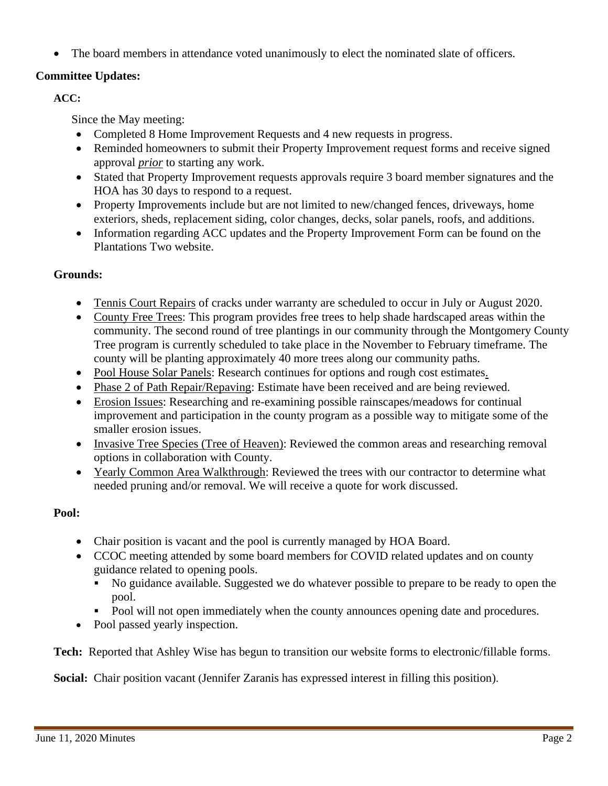The board members in attendance voted unanimously to elect the nominated slate of officers.

## **Committee Updates:**

## **ACC:**

Since the May meeting:

- Completed 8 Home Improvement Requests and 4 new requests in progress.
- Reminded homeowners to submit their Property Improvement request forms and receive signed approval *prior* to starting any work.
- Stated that Property Improvement requests approvals require 3 board member signatures and the HOA has 30 days to respond to a request.
- Property Improvements include but are not limited to new/changed fences, driveways, home exteriors, sheds, replacement siding, color changes, decks, solar panels, roofs, and additions.
- Information regarding ACC updates and the Property Improvement Form can be found on the Plantations Two website.

# **Grounds:**

- Tennis Court Repairs of cracks under warranty are scheduled to occur in July or August 2020.
- County Free Trees: This program provides free trees to help shade hardscaped areas within the community. The second round of tree plantings in our community through the Montgomery County Tree program is currently scheduled to take place in the November to February timeframe. The county will be planting approximately 40 more trees along our community paths.
- Pool House Solar Panels: Research continues for options and rough cost estimates.
- Phase 2 of Path Repair/Repaving: Estimate have been received and are being reviewed.
- Erosion Issues: Researching and re-examining possible rainscapes/meadows for continual improvement and participation in the county program as a possible way to mitigate some of the smaller erosion issues.
- Invasive Tree Species (Tree of Heaven): Reviewed the common areas and researching removal options in collaboration with County.
- Yearly Common Area Walkthrough: Reviewed the trees with our contractor to determine what needed pruning and/or removal. We will receive a quote for work discussed.

# **Pool:**

- Chair position is vacant and the pool is currently managed by HOA Board.
- CCOC meeting attended by some board members for COVID related updates and on county guidance related to opening pools.
	- No guidance available. Suggested we do whatever possible to prepare to be ready to open the pool.
	- Pool will not open immediately when the county announces opening date and procedures.
- Pool passed yearly inspection.

**Tech:** Reported that Ashley Wise has begun to transition our website forms to electronic/fillable forms.

**Social:** Chair position vacant (Jennifer Zaranis has expressed interest in filling this position).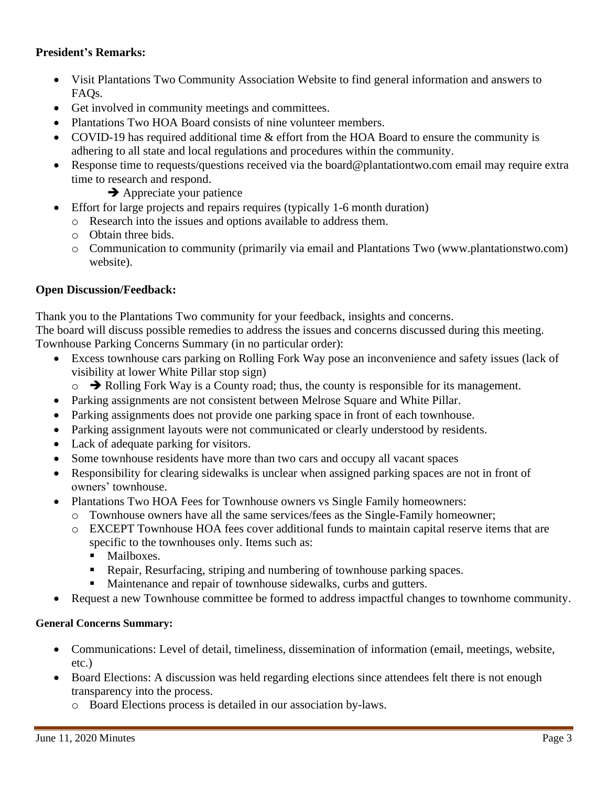### **President's Remarks:**

- Visit Plantations Two Community Association Website to find general information and answers to FAQs.
- Get involved in community meetings and committees.
- Plantations Two HOA Board consists of nine volunteer members.
- COVID-19 has required additional time & effort from the HOA Board to ensure the community is adhering to all state and local regulations and procedures within the community.
- Response time to requests/questions received via the board@plantationtwo.com email may require extra time to research and respond.

**→** Appreciate your patience

- Effort for large projects and repairs requires (typically 1-6 month duration)
	- o Research into the issues and options available to address them.
	- o Obtain three bids.
	- o Communication to community (primarily via email and Plantations Two (www.plantationstwo.com) website).

## **Open Discussion/Feedback:**

Thank you to the Plantations Two community for your feedback, insights and concerns. The board will discuss possible remedies to address the issues and concerns discussed during this meeting. Townhouse Parking Concerns Summary (in no particular order):

- Excess townhouse cars parking on Rolling Fork Way pose an inconvenience and safety issues (lack of visibility at lower White Pillar stop sign)
	- o ➔ Rolling Fork Way is a County road; thus, the county is responsible for its management.
- Parking assignments are not consistent between Melrose Square and White Pillar.
- Parking assignments does not provide one parking space in front of each townhouse.
- Parking assignment layouts were not communicated or clearly understood by residents.
- Lack of adequate parking for visitors.
- Some townhouse residents have more than two cars and occupy all vacant spaces
- Responsibility for clearing sidewalks is unclear when assigned parking spaces are not in front of owners' townhouse.
- Plantations Two HOA Fees for Townhouse owners vs Single Family homeowners:
	- o Townhouse owners have all the same services/fees as the Single-Family homeowner;
	- o EXCEPT Townhouse HOA fees cover additional funds to maintain capital reserve items that are specific to the townhouses only. Items such as:
		- **■** Mailboxes.
		- **Repair, Resurfacing, striping and numbering of townhouse parking spaces.**
		- Maintenance and repair of townhouse sidewalks, curbs and gutters.
- Request a new Townhouse committee be formed to address impactful changes to townhome community.

### **General Concerns Summary:**

- Communications: Level of detail, timeliness, dissemination of information (email, meetings, website, etc.)
- Board Elections: A discussion was held regarding elections since attendees felt there is not enough transparency into the process.
	- o Board Elections process is detailed in our association by-laws.